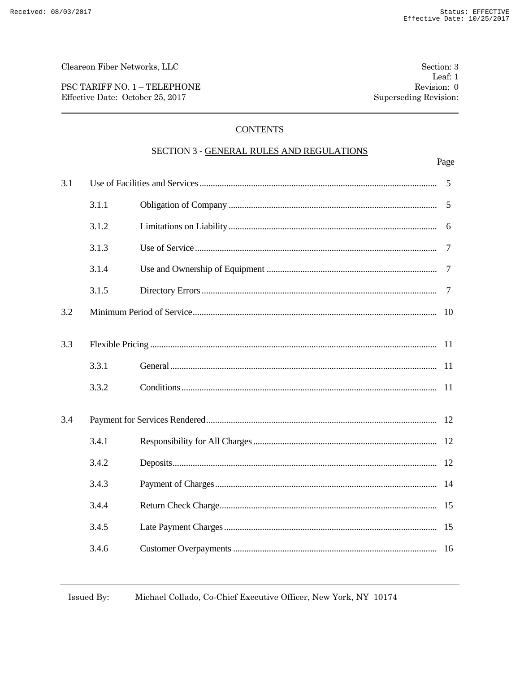Cleareon Fiber Networks, LLC

PSC TARIFF NO. 1 - TELEPHONE Effective Date: October 25, 2017

# **CONTENTS**

### SECTION 3 - GENERAL RULES AND REGULATIONS

|     |       |  | Page           |
|-----|-------|--|----------------|
| 3.1 |       |  | 5              |
|     | 3.1.1 |  | 5              |
|     | 3.1.2 |  | 6              |
|     | 3.1.3 |  | $\overline{7}$ |
|     | 3.1.4 |  | $\overline{7}$ |
|     | 3.1.5 |  | 7              |
| 3.2 |       |  | 10             |
| 3.3 |       |  |                |
|     | 3.3.1 |  | -11            |
|     | 3.3.2 |  |                |
| 3.4 |       |  |                |
|     | 3.4.1 |  |                |
|     | 3.4.2 |  |                |
|     | 3.4.3 |  |                |
|     | 3.4.4 |  |                |
|     | 3.4.5 |  | 15             |
|     | 3.4.6 |  |                |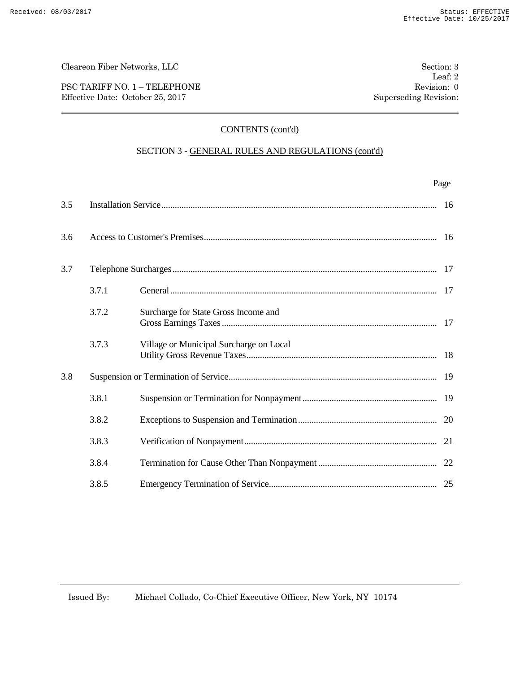PSC TARIFF NO. 1 – TELEPHONE Revision: 0 Effective Date: October 25, 2017 Superseding Revision:

# CONTENTS (cont'd)

### SECTION 3 - GENERAL RULES AND REGULATIONS (cont'd)

|     |       |                                         | Page |
|-----|-------|-----------------------------------------|------|
| 3.5 |       |                                         | 16   |
| 3.6 |       |                                         |      |
| 3.7 |       |                                         |      |
|     | 3.7.1 |                                         |      |
|     | 3.7.2 | Surcharge for State Gross Income and    |      |
|     | 3.7.3 | Village or Municipal Surcharge on Local |      |
| 3.8 |       |                                         |      |
|     | 3.8.1 |                                         |      |
|     | 3.8.2 |                                         |      |
|     | 3.8.3 |                                         | 21   |
|     | 3.8.4 |                                         |      |
|     | 3.8.5 |                                         |      |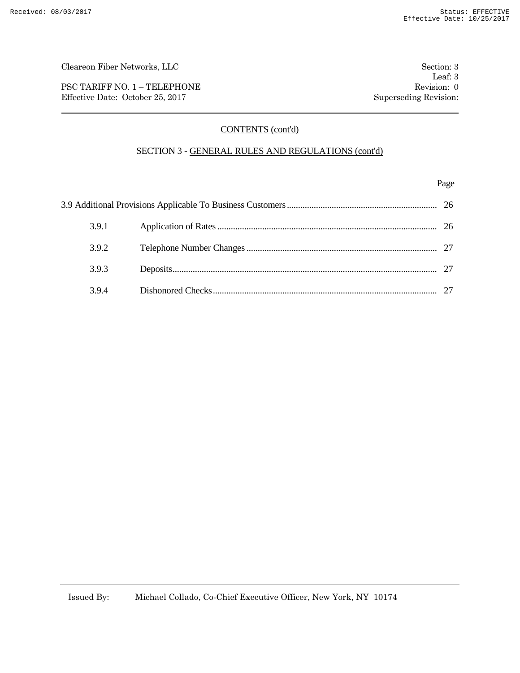PSC TARIFF NO. 1 – TELEPHONE Revision: 0 Effective Date: October 25, 2017 Superseding Revision:

# CONTENTS (cont'd)

### SECTION 3 - GENERAL RULES AND REGULATIONS (cont'd)

#### Page

|  | 3.9.1 |  |  |
|--|-------|--|--|
|  | 3.9.2 |  |  |
|  | 3.9.3 |  |  |
|  | 3.9.4 |  |  |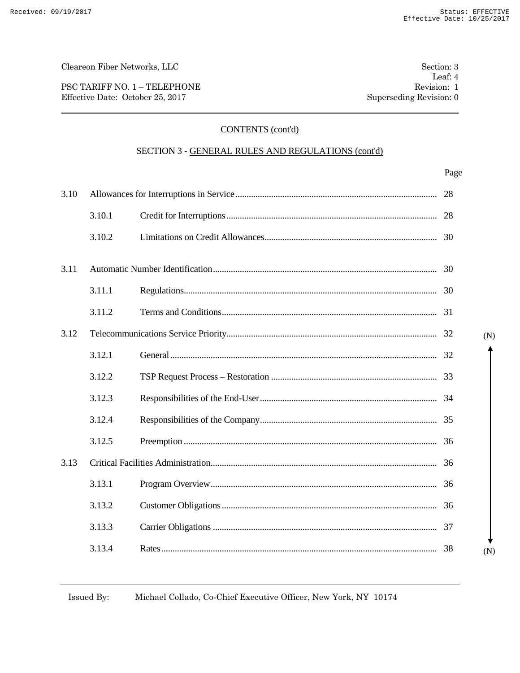PSC TARIFF NO. 1 – TELEPHONE Revision: 1 Effective Date: October 25, 2017 Superseding Revision: 0

# CONTENTS (cont'd)

### SECTION 3 - GENERAL RULES AND REGULATIONS (cont'd)

|      |        | Page |     |
|------|--------|------|-----|
| 3.10 |        | 28   |     |
|      | 3.10.1 |      |     |
|      | 3.10.2 |      |     |
| 3.11 |        |      |     |
|      | 3.11.1 |      |     |
|      | 3.11.2 |      |     |
| 3.12 |        |      | (N) |
|      | 3.12.1 |      |     |
|      | 3.12.2 |      |     |
|      | 3.12.3 |      |     |
|      | 3.12.4 |      |     |
|      | 3.12.5 | 36   |     |
| 3.13 |        |      |     |
|      | 3.13.1 |      |     |
|      | 3.13.2 |      |     |
|      | 3.13.3 |      |     |
|      | 3.13.4 |      | (N) |
|      |        |      |     |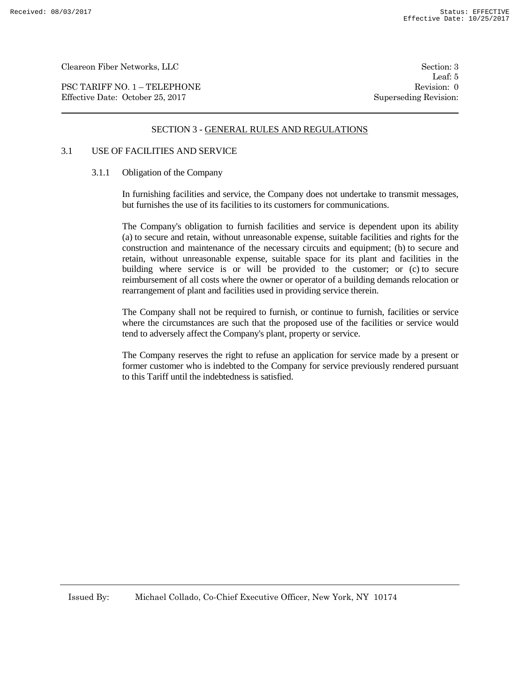PSC TARIFF NO. 1 – TELEPHONE Revision: 0 Effective Date: October 25, 2017 Superseding Revision:

Leaf: 5

#### SECTION 3 - GENERAL RULES AND REGULATIONS

### 3.1 USE OF FACILITIES AND SERVICE

#### 3.1.1 Obligation of the Company

In furnishing facilities and service, the Company does not undertake to transmit messages, but furnishes the use of its facilities to its customers for communications.

The Company's obligation to furnish facilities and service is dependent upon its ability (a) to secure and retain, without unreasonable expense, suitable facilities and rights for the construction and maintenance of the necessary circuits and equipment; (b) to secure and retain, without unreasonable expense, suitable space for its plant and facilities in the building where service is or will be provided to the customer; or (c) to secure reimbursement of all costs where the owner or operator of a building demands relocation or rearrangement of plant and facilities used in providing service therein.

The Company shall not be required to furnish, or continue to furnish, facilities or service where the circumstances are such that the proposed use of the facilities or service would tend to adversely affect the Company's plant, property or service.

The Company reserves the right to refuse an application for service made by a present or former customer who is indebted to the Company for service previously rendered pursuant to this Tariff until the indebtedness is satisfied.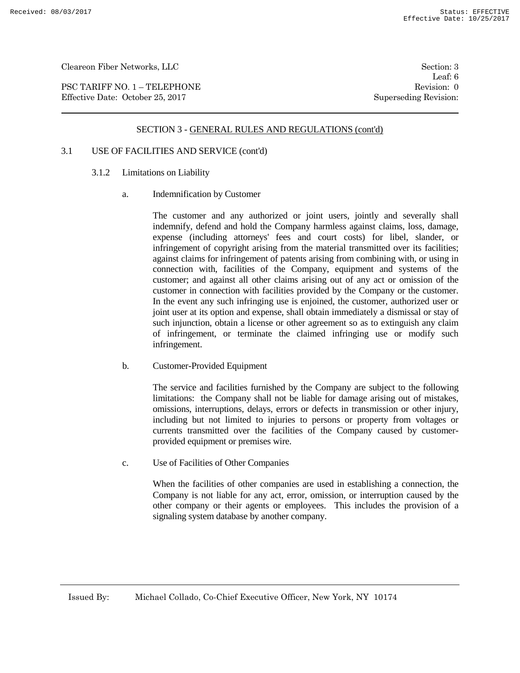PSC TARIFF NO. 1 – TELEPHONE Revision: 0 Effective Date: October 25, 2017 Superseding Revision:

Leaf: 6

#### SECTION 3 - GENERAL RULES AND REGULATIONS (cont'd)

# 3.1 USE OF FACILITIES AND SERVICE (cont'd)

- 3.1.2 Limitations on Liability
	- a. Indemnification by Customer

The customer and any authorized or joint users, jointly and severally shall indemnify, defend and hold the Company harmless against claims, loss, damage, expense (including attorneys' fees and court costs) for libel, slander, or infringement of copyright arising from the material transmitted over its facilities; against claims for infringement of patents arising from combining with, or using in connection with, facilities of the Company, equipment and systems of the customer; and against all other claims arising out of any act or omission of the customer in connection with facilities provided by the Company or the customer. In the event any such infringing use is enjoined, the customer, authorized user or joint user at its option and expense, shall obtain immediately a dismissal or stay of such injunction, obtain a license or other agreement so as to extinguish any claim of infringement, or terminate the claimed infringing use or modify such infringement.

b. Customer-Provided Equipment

The service and facilities furnished by the Company are subject to the following limitations: the Company shall not be liable for damage arising out of mistakes, omissions, interruptions, delays, errors or defects in transmission or other injury, including but not limited to injuries to persons or property from voltages or currents transmitted over the facilities of the Company caused by customerprovided equipment or premises wire.

c. Use of Facilities of Other Companies

When the facilities of other companies are used in establishing a connection, the Company is not liable for any act, error, omission, or interruption caused by the other company or their agents or employees. This includes the provision of a signaling system database by another company.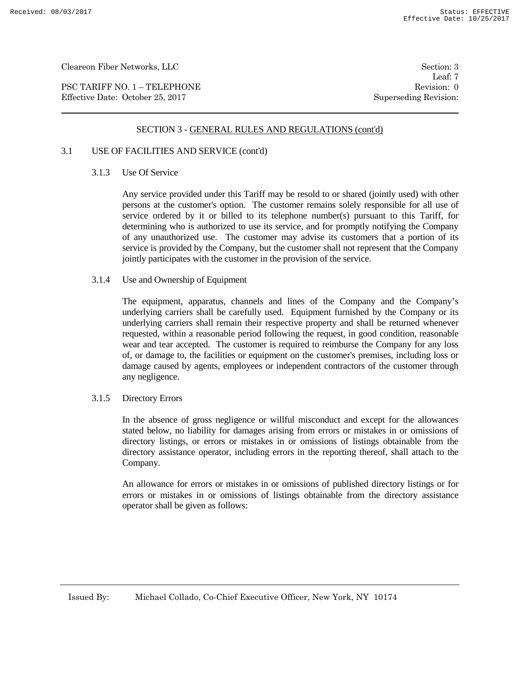PSC TARIFF NO. 1 – TELEPHONE Revision: 0 Effective Date: October 25, 2017 Superseding Revision:

Leaf: 7

#### SECTION 3 - GENERAL RULES AND REGULATIONS (cont'd)

# 3.1 USE OF FACILITIES AND SERVICE (cont'd)

### 3.1.3 Use Of Service

Any service provided under this Tariff may be resold to or shared (jointly used) with other persons at the customer's option. The customer remains solely responsible for all use of service ordered by it or billed to its telephone number(s) pursuant to this Tariff, for determining who is authorized to use its service, and for promptly notifying the Company of any unauthorized use. The customer may advise its customers that a portion of its service is provided by the Company, but the customer shall not represent that the Company jointly participates with the customer in the provision of the service.

#### 3.1.4 Use and Ownership of Equipment

The equipment, apparatus, channels and lines of the Company and the Company's underlying carriers shall be carefully used. Equipment furnished by the Company or its underlying carriers shall remain their respective property and shall be returned whenever requested, within a reasonable period following the request, in good condition, reasonable wear and tear accepted. The customer is required to reimburse the Company for any loss of, or damage to, the facilities or equipment on the customer's premises, including loss or damage caused by agents, employees or independent contractors of the customer through any negligence.

#### 3.1.5 Directory Errors

In the absence of gross negligence or willful misconduct and except for the allowances stated below, no liability for damages arising from errors or mistakes in or omissions of directory listings, or errors or mistakes in or omissions of listings obtainable from the directory assistance operator, including errors in the reporting thereof, shall attach to the Company.

An allowance for errors or mistakes in or omissions of published directory listings or for errors or mistakes in or omissions of listings obtainable from the directory assistance operator shall be given as follows: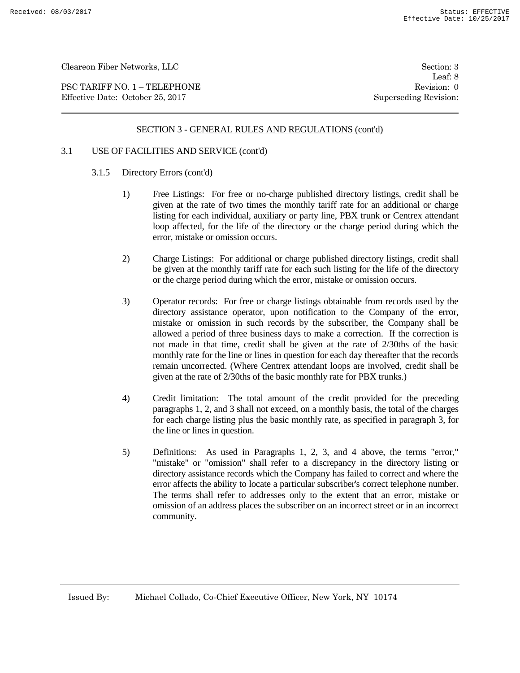PSC TARIFF NO. 1 – TELEPHONE Revision: 0 Effective Date: October 25, 2017 Superseding Revision:

Leaf: 8

### SECTION 3 - GENERAL RULES AND REGULATIONS (cont'd)

# 3.1 USE OF FACILITIES AND SERVICE (cont'd)

- 3.1.5 Directory Errors (cont'd)
	- 1) Free Listings: For free or no-charge published directory listings, credit shall be given at the rate of two times the monthly tariff rate for an additional or charge listing for each individual, auxiliary or party line, PBX trunk or Centrex attendant loop affected, for the life of the directory or the charge period during which the error, mistake or omission occurs.
	- 2) Charge Listings: For additional or charge published directory listings, credit shall be given at the monthly tariff rate for each such listing for the life of the directory or the charge period during which the error, mistake or omission occurs.
	- 3) Operator records: For free or charge listings obtainable from records used by the directory assistance operator, upon notification to the Company of the error, mistake or omission in such records by the subscriber, the Company shall be allowed a period of three business days to make a correction. If the correction is not made in that time, credit shall be given at the rate of 2/30ths of the basic monthly rate for the line or lines in question for each day thereafter that the records remain uncorrected. (Where Centrex attendant loops are involved, credit shall be given at the rate of 2/30ths of the basic monthly rate for PBX trunks.)
	- 4) Credit limitation: The total amount of the credit provided for the preceding paragraphs 1, 2, and 3 shall not exceed, on a monthly basis, the total of the charges for each charge listing plus the basic monthly rate, as specified in paragraph 3, for the line or lines in question.
	- 5) Definitions: As used in Paragraphs 1, 2, 3, and 4 above, the terms "error," "mistake" or "omission" shall refer to a discrepancy in the directory listing or directory assistance records which the Company has failed to correct and where the error affects the ability to locate a particular subscriber's correct telephone number. The terms shall refer to addresses only to the extent that an error, mistake or omission of an address places the subscriber on an incorrect street or in an incorrect community.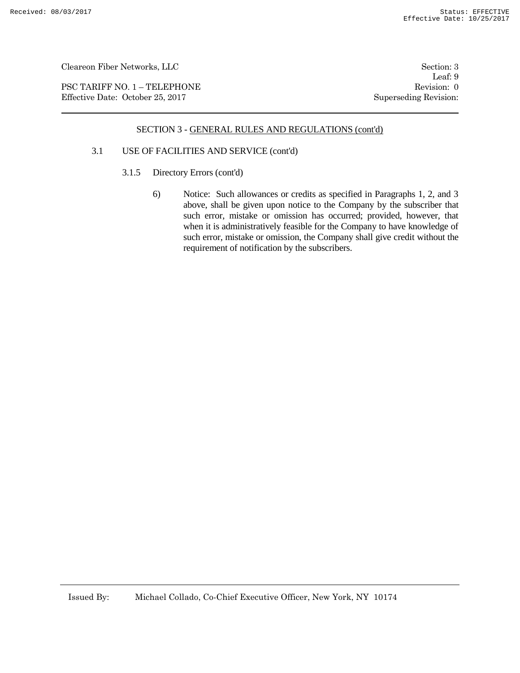PSC TARIFF NO. 1 – TELEPHONE Revision: 0 Effective Date: October 25, 2017 Superseding Revision:

Leaf: 9

#### SECTION 3 - GENERAL RULES AND REGULATIONS (cont'd)

### 3.1 USE OF FACILITIES AND SERVICE (cont'd)

- 3.1.5 Directory Errors (cont'd)
	- 6) Notice: Such allowances or credits as specified in Paragraphs 1, 2, and 3 above, shall be given upon notice to the Company by the subscriber that such error, mistake or omission has occurred; provided, however, that when it is administratively feasible for the Company to have knowledge of such error, mistake or omission, the Company shall give credit without the requirement of notification by the subscribers.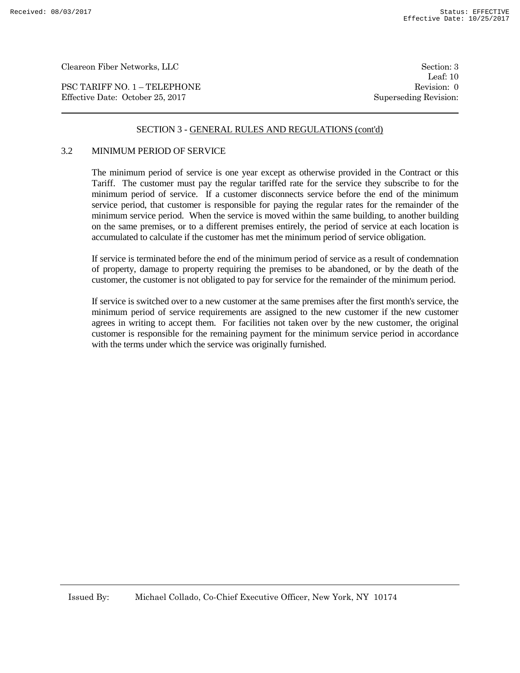PSC TARIFF NO. 1 – TELEPHONE Revision: 0 Effective Date: October 25, 2017 Superseding Revision:

Leaf: 10

### SECTION 3 - GENERAL RULES AND REGULATIONS (cont'd)

#### 3.2 MINIMUM PERIOD OF SERVICE

The minimum period of service is one year except as otherwise provided in the Contract or this Tariff. The customer must pay the regular tariffed rate for the service they subscribe to for the minimum period of service. If a customer disconnects service before the end of the minimum service period, that customer is responsible for paying the regular rates for the remainder of the minimum service period. When the service is moved within the same building, to another building on the same premises, or to a different premises entirely, the period of service at each location is accumulated to calculate if the customer has met the minimum period of service obligation.

If service is terminated before the end of the minimum period of service as a result of condemnation of property, damage to property requiring the premises to be abandoned, or by the death of the customer, the customer is not obligated to pay for service for the remainder of the minimum period.

If service is switched over to a new customer at the same premises after the first month's service, the minimum period of service requirements are assigned to the new customer if the new customer agrees in writing to accept them. For facilities not taken over by the new customer, the original customer is responsible for the remaining payment for the minimum service period in accordance with the terms under which the service was originally furnished.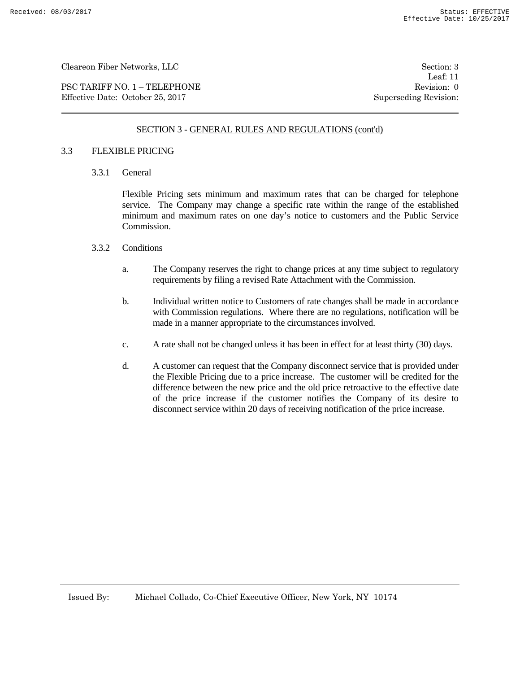PSC TARIFF NO. 1 – TELEPHONE Revision: 0 Effective Date: October 25, 2017 Superseding Revision:

Leaf: 11

### SECTION 3 - GENERAL RULES AND REGULATIONS (cont'd)

#### 3.3 FLEXIBLE PRICING

3.3.1 General

Flexible Pricing sets minimum and maximum rates that can be charged for telephone service. The Company may change a specific rate within the range of the established minimum and maximum rates on one day's notice to customers and the Public Service Commission.

#### 3.3.2 Conditions

- a. The Company reserves the right to change prices at any time subject to regulatory requirements by filing a revised Rate Attachment with the Commission.
- b. Individual written notice to Customers of rate changes shall be made in accordance with Commission regulations. Where there are no regulations, notification will be made in a manner appropriate to the circumstances involved.
- c. A rate shall not be changed unless it has been in effect for at least thirty (30) days.
- d. A customer can request that the Company disconnect service that is provided under the Flexible Pricing due to a price increase. The customer will be credited for the difference between the new price and the old price retroactive to the effective date of the price increase if the customer notifies the Company of its desire to disconnect service within 20 days of receiving notification of the price increase.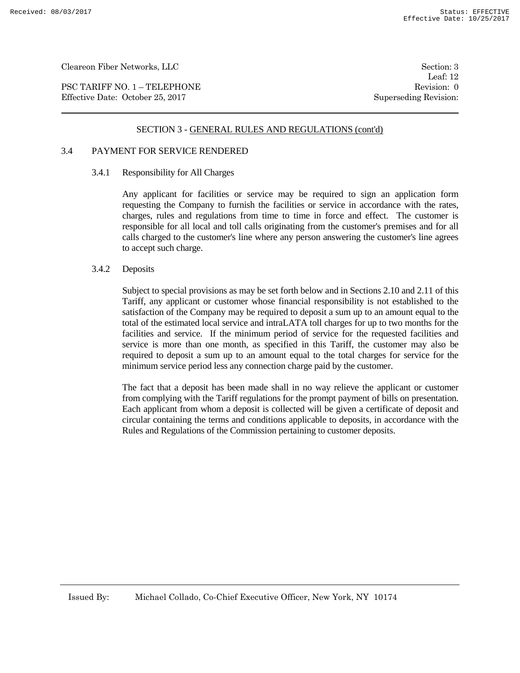PSC TARIFF NO. 1 – TELEPHONE Revision: 0 Effective Date: October 25, 2017 Superseding Revision:

Leaf: 12

#### SECTION 3 - GENERAL RULES AND REGULATIONS (cont'd)

### 3.4 PAYMENT FOR SERVICE RENDERED

#### 3.4.1 Responsibility for All Charges

Any applicant for facilities or service may be required to sign an application form requesting the Company to furnish the facilities or service in accordance with the rates, charges, rules and regulations from time to time in force and effect. The customer is responsible for all local and toll calls originating from the customer's premises and for all calls charged to the customer's line where any person answering the customer's line agrees to accept such charge.

#### 3.4.2 Deposits

Subject to special provisions as may be set forth below and in Sections 2.10 and 2.11 of this Tariff, any applicant or customer whose financial responsibility is not established to the satisfaction of the Company may be required to deposit a sum up to an amount equal to the total of the estimated local service and intraLATA toll charges for up to two months for the facilities and service. If the minimum period of service for the requested facilities and service is more than one month, as specified in this Tariff, the customer may also be required to deposit a sum up to an amount equal to the total charges for service for the minimum service period less any connection charge paid by the customer.

The fact that a deposit has been made shall in no way relieve the applicant or customer from complying with the Tariff regulations for the prompt payment of bills on presentation. Each applicant from whom a deposit is collected will be given a certificate of deposit and circular containing the terms and conditions applicable to deposits, in accordance with the Rules and Regulations of the Commission pertaining to customer deposits.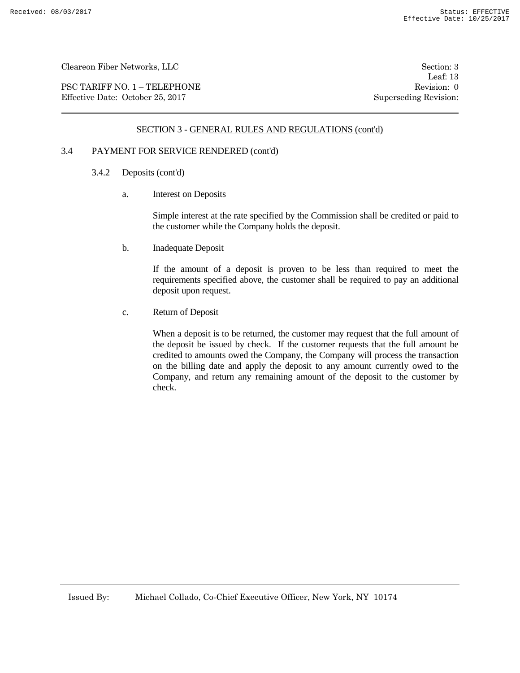PSC TARIFF NO. 1 – TELEPHONE Revision: 0 Effective Date: October 25, 2017 Superseding Revision:

Leaf: 13

### SECTION 3 - GENERAL RULES AND REGULATIONS (cont'd)

# 3.4 PAYMENT FOR SERVICE RENDERED (cont'd)

- 3.4.2 Deposits (cont'd)
	- a. Interest on Deposits

Simple interest at the rate specified by the Commission shall be credited or paid to the customer while the Company holds the deposit.

b. Inadequate Deposit

If the amount of a deposit is proven to be less than required to meet the requirements specified above, the customer shall be required to pay an additional deposit upon request.

c. Return of Deposit

When a deposit is to be returned, the customer may request that the full amount of the deposit be issued by check. If the customer requests that the full amount be credited to amounts owed the Company, the Company will process the transaction on the billing date and apply the deposit to any amount currently owed to the Company, and return any remaining amount of the deposit to the customer by check.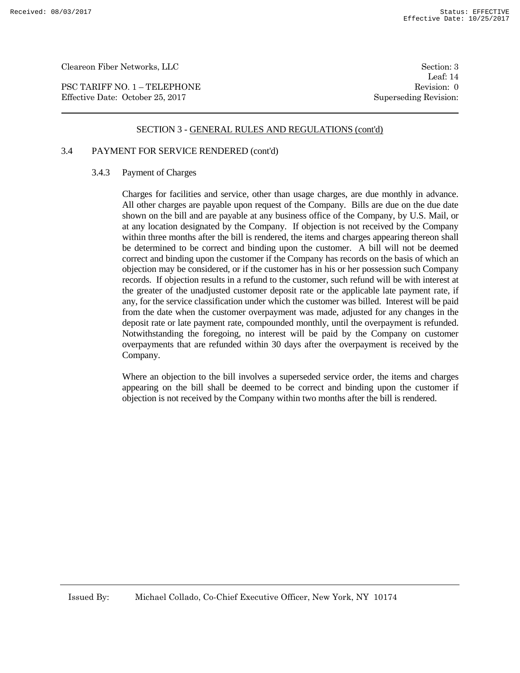PSC TARIFF NO. 1 – TELEPHONE Revision: 0 Effective Date: October 25, 2017 Superseding Revision:

Leaf: 14

#### SECTION 3 - GENERAL RULES AND REGULATIONS (cont'd)

# 3.4 PAYMENT FOR SERVICE RENDERED (cont'd)

#### 3.4.3 Payment of Charges

Charges for facilities and service, other than usage charges, are due monthly in advance. All other charges are payable upon request of the Company. Bills are due on the due date shown on the bill and are payable at any business office of the Company, by U.S. Mail, or at any location designated by the Company. If objection is not received by the Company within three months after the bill is rendered, the items and charges appearing thereon shall be determined to be correct and binding upon the customer. A bill will not be deemed correct and binding upon the customer if the Company has records on the basis of which an objection may be considered, or if the customer has in his or her possession such Company records. If objection results in a refund to the customer, such refund will be with interest at the greater of the unadjusted customer deposit rate or the applicable late payment rate, if any, for the service classification under which the customer was billed. Interest will be paid from the date when the customer overpayment was made, adjusted for any changes in the deposit rate or late payment rate, compounded monthly, until the overpayment is refunded. Notwithstanding the foregoing, no interest will be paid by the Company on customer overpayments that are refunded within 30 days after the overpayment is received by the Company.

Where an objection to the bill involves a superseded service order, the items and charges appearing on the bill shall be deemed to be correct and binding upon the customer if objection is not received by the Company within two months after the bill is rendered.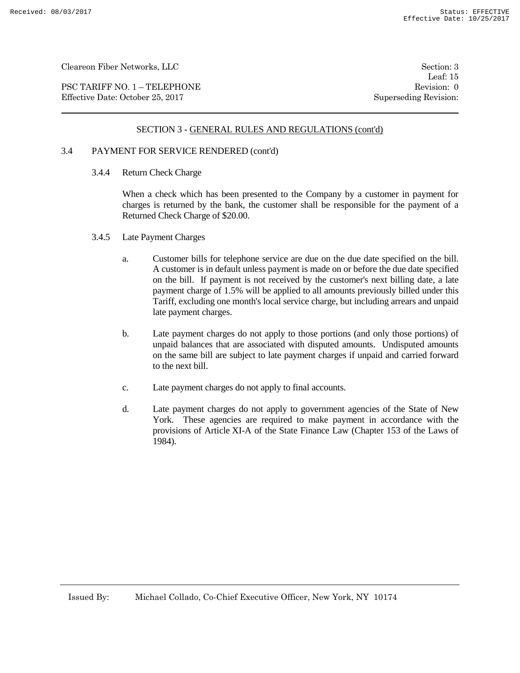PSC TARIFF NO. 1 – TELEPHONE Revision: 0 Effective Date: October 25, 2017 Superseding Revision:

Leaf: 15

### SECTION 3 - GENERAL RULES AND REGULATIONS (cont'd)

# 3.4 PAYMENT FOR SERVICE RENDERED (cont'd)

3.4.4 Return Check Charge

When a check which has been presented to the Company by a customer in payment for charges is returned by the bank, the customer shall be responsible for the payment of a Returned Check Charge of \$20.00.

- 3.4.5 Late Payment Charges
	- a. Customer bills for telephone service are due on the due date specified on the bill. A customer is in default unless payment is made on or before the due date specified on the bill. If payment is not received by the customer's next billing date, a late payment charge of 1.5% will be applied to all amounts previously billed under this Tariff, excluding one month's local service charge, but including arrears and unpaid late payment charges.
	- b. Late payment charges do not apply to those portions (and only those portions) of unpaid balances that are associated with disputed amounts. Undisputed amounts on the same bill are subject to late payment charges if unpaid and carried forward to the next bill.
	- c. Late payment charges do not apply to final accounts.
	- d. Late payment charges do not apply to government agencies of the State of New York. These agencies are required to make payment in accordance with the provisions of Article XI-A of the State Finance Law (Chapter 153 of the Laws of 1984).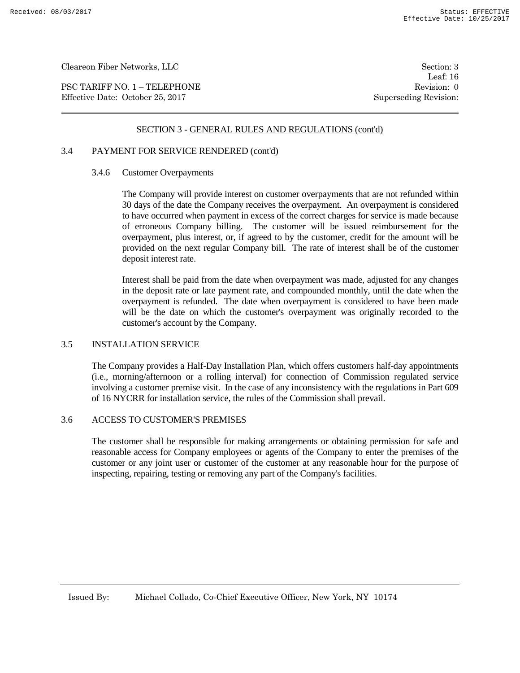PSC TARIFF NO. 1 – TELEPHONE Revision: 0 Effective Date: October 25, 2017 Superseding Revision:

Leaf: 16

#### SECTION 3 - GENERAL RULES AND REGULATIONS (cont'd)

# 3.4 PAYMENT FOR SERVICE RENDERED (cont'd)

#### 3.4.6 Customer Overpayments

The Company will provide interest on customer overpayments that are not refunded within 30 days of the date the Company receives the overpayment. An overpayment is considered to have occurred when payment in excess of the correct charges for service is made because of erroneous Company billing. The customer will be issued reimbursement for the overpayment, plus interest, or, if agreed to by the customer, credit for the amount will be provided on the next regular Company bill. The rate of interest shall be of the customer deposit interest rate.

Interest shall be paid from the date when overpayment was made, adjusted for any changes in the deposit rate or late payment rate, and compounded monthly, until the date when the overpayment is refunded. The date when overpayment is considered to have been made will be the date on which the customer's overpayment was originally recorded to the customer's account by the Company.

#### 3.5 INSTALLATION SERVICE

The Company provides a Half-Day Installation Plan, which offers customers half-day appointments (i.e., morning/afternoon or a rolling interval) for connection of Commission regulated service involving a customer premise visit. In the case of any inconsistency with the regulations in Part 609 of 16 NYCRR for installation service, the rules of the Commission shall prevail.

#### 3.6 ACCESS TO CUSTOMER'S PREMISES

The customer shall be responsible for making arrangements or obtaining permission for safe and reasonable access for Company employees or agents of the Company to enter the premises of the customer or any joint user or customer of the customer at any reasonable hour for the purpose of inspecting, repairing, testing or removing any part of the Company's facilities.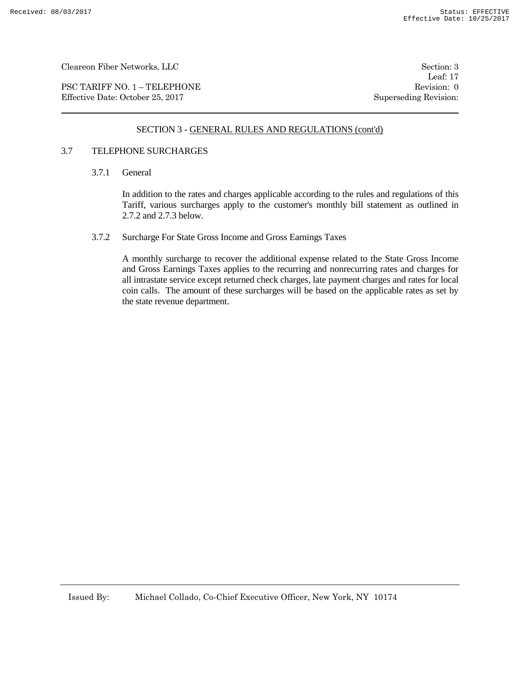PSC TARIFF NO. 1 – TELEPHONE Revision: 0 Effective Date: October 25, 2017 Superseding Revision:

Leaf: 17

### SECTION 3 - GENERAL RULES AND REGULATIONS (cont'd)

#### 3.7 TELEPHONE SURCHARGES

3.7.1 General

In addition to the rates and charges applicable according to the rules and regulations of this Tariff, various surcharges apply to the customer's monthly bill statement as outlined in 2.7.2 and 2.7.3 below.

3.7.2 Surcharge For State Gross Income and Gross Earnings Taxes

A monthly surcharge to recover the additional expense related to the State Gross Income and Gross Earnings Taxes applies to the recurring and nonrecurring rates and charges for all intrastate service except returned check charges, late payment charges and rates for local coin calls. The amount of these surcharges will be based on the applicable rates as set by the state revenue department.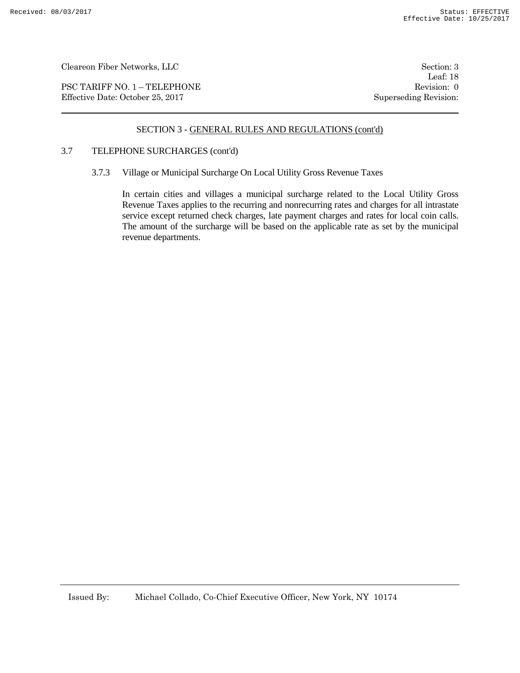PSC TARIFF NO. 1 – TELEPHONE Revision: 0 Effective Date: October 25, 2017 Superseding Revision:

Leaf: 18

### SECTION 3 - GENERAL RULES AND REGULATIONS (cont'd)

### 3.7 TELEPHONE SURCHARGES (cont'd)

3.7.3 Village or Municipal Surcharge On Local Utility Gross Revenue Taxes

In certain cities and villages a municipal surcharge related to the Local Utility Gross Revenue Taxes applies to the recurring and nonrecurring rates and charges for all intrastate service except returned check charges, late payment charges and rates for local coin calls. The amount of the surcharge will be based on the applicable rate as set by the municipal revenue departments.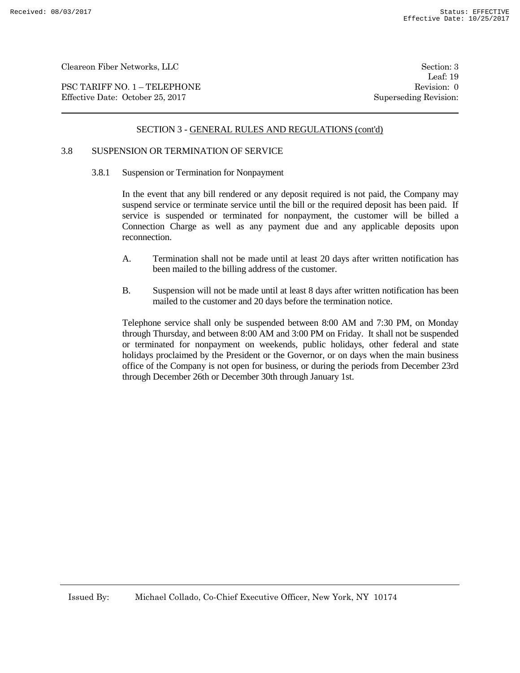PSC TARIFF NO. 1 – TELEPHONE Revision: 0 Effective Date: October 25, 2017 Superseding Revision:

# SECTION 3 - GENERAL RULES AND REGULATIONS (cont'd)

# 3.8 SUSPENSION OR TERMINATION OF SERVICE

3.8.1 Suspension or Termination for Nonpayment

In the event that any bill rendered or any deposit required is not paid, the Company may suspend service or terminate service until the bill or the required deposit has been paid. If service is suspended or terminated for nonpayment, the customer will be billed a Connection Charge as well as any payment due and any applicable deposits upon reconnection.

- A. Termination shall not be made until at least 20 days after written notification has been mailed to the billing address of the customer.
- B. Suspension will not be made until at least 8 days after written notification has been mailed to the customer and 20 days before the termination notice.

Telephone service shall only be suspended between 8:00 AM and 7:30 PM, on Monday through Thursday, and between 8:00 AM and 3:00 PM on Friday. It shall not be suspended or terminated for nonpayment on weekends, public holidays, other federal and state holidays proclaimed by the President or the Governor, or on days when the main business office of the Company is not open for business, or during the periods from December 23rd through December 26th or December 30th through January 1st.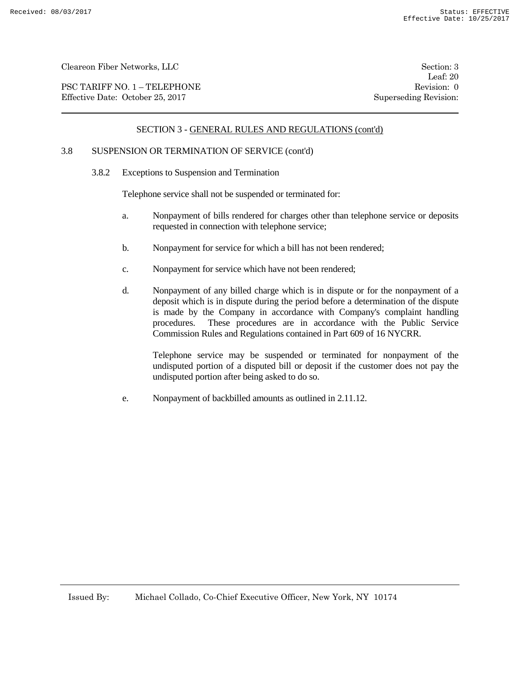PSC TARIFF NO. 1 – TELEPHONE Revision: 0 Effective Date: October 25, 2017 Superseding Revision:

Leaf: 20

# SECTION 3 - GENERAL RULES AND REGULATIONS (cont'd)

# 3.8 SUSPENSION OR TERMINATION OF SERVICE (cont'd)

3.8.2 Exceptions to Suspension and Termination

Telephone service shall not be suspended or terminated for:

- a. Nonpayment of bills rendered for charges other than telephone service or deposits requested in connection with telephone service;
- b. Nonpayment for service for which a bill has not been rendered;
- c. Nonpayment for service which have not been rendered;
- d. Nonpayment of any billed charge which is in dispute or for the nonpayment of a deposit which is in dispute during the period before a determination of the dispute is made by the Company in accordance with Company's complaint handling procedures. These procedures are in accordance with the Public Service Commission Rules and Regulations contained in Part 609 of 16 NYCRR.

Telephone service may be suspended or terminated for nonpayment of the undisputed portion of a disputed bill or deposit if the customer does not pay the undisputed portion after being asked to do so.

e. Nonpayment of backbilled amounts as outlined in 2.11.12.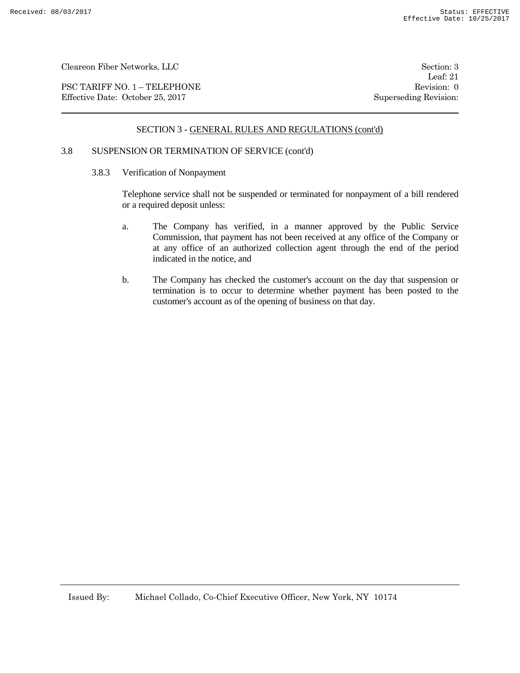PSC TARIFF NO. 1 – TELEPHONE Revision: 0 Effective Date: October 25, 2017 Superseding Revision:

Leaf: 21

# SECTION 3 - GENERAL RULES AND REGULATIONS (cont'd)

### 3.8 SUSPENSION OR TERMINATION OF SERVICE (cont'd)

3.8.3 Verification of Nonpayment

Telephone service shall not be suspended or terminated for nonpayment of a bill rendered or a required deposit unless:

- a. The Company has verified, in a manner approved by the Public Service Commission, that payment has not been received at any office of the Company or at any office of an authorized collection agent through the end of the period indicated in the notice, and
- b. The Company has checked the customer's account on the day that suspension or termination is to occur to determine whether payment has been posted to the customer's account as of the opening of business on that day.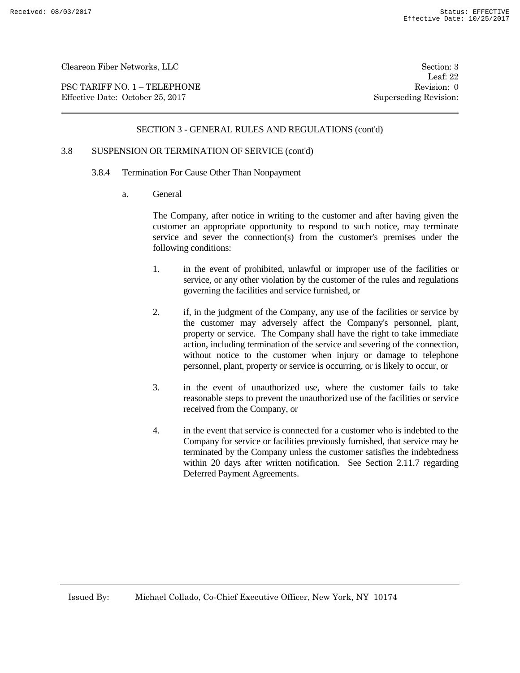PSC TARIFF NO. 1 – TELEPHONE Revision: 0 Effective Date: October 25, 2017 Superseding Revision:

Leaf: 22

### SECTION 3 - GENERAL RULES AND REGULATIONS (cont'd)

# 3.8 SUSPENSION OR TERMINATION OF SERVICE (cont'd)

- 3.8.4 Termination For Cause Other Than Nonpayment
	- a. General

The Company, after notice in writing to the customer and after having given the customer an appropriate opportunity to respond to such notice, may terminate service and sever the connection(s) from the customer's premises under the following conditions:

- 1. in the event of prohibited, unlawful or improper use of the facilities or service, or any other violation by the customer of the rules and regulations governing the facilities and service furnished, or
- 2. if, in the judgment of the Company, any use of the facilities or service by the customer may adversely affect the Company's personnel, plant, property or service. The Company shall have the right to take immediate action, including termination of the service and severing of the connection, without notice to the customer when injury or damage to telephone personnel, plant, property or service is occurring, or is likely to occur, or
- 3. in the event of unauthorized use, where the customer fails to take reasonable steps to prevent the unauthorized use of the facilities or service received from the Company, or
- 4. in the event that service is connected for a customer who is indebted to the Company for service or facilities previously furnished, that service may be terminated by the Company unless the customer satisfies the indebtedness within 20 days after written notification. See Section 2.11.7 regarding Deferred Payment Agreements.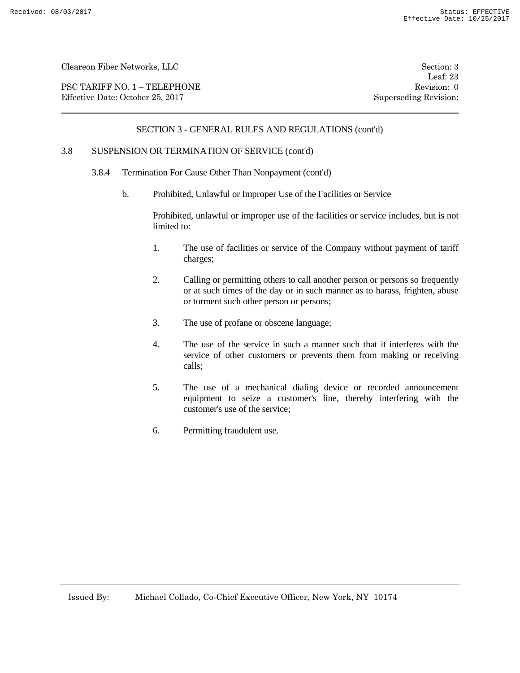PSC TARIFF NO. 1 – TELEPHONE Revision: 0 Effective Date: October 25, 2017 Superseding Revision:

Leaf: 23

### SECTION 3 - GENERAL RULES AND REGULATIONS (cont'd)

# 3.8 SUSPENSION OR TERMINATION OF SERVICE (cont'd)

- 3.8.4 Termination For Cause Other Than Nonpayment (cont'd)
	- b. Prohibited, Unlawful or Improper Use of the Facilities or Service

Prohibited, unlawful or improper use of the facilities or service includes, but is not limited to:

- 1. The use of facilities or service of the Company without payment of tariff charges;
- 2. Calling or permitting others to call another person or persons so frequently or at such times of the day or in such manner as to harass, frighten, abuse or torment such other person or persons;
- 3. The use of profane or obscene language;
- 4. The use of the service in such a manner such that it interferes with the service of other customers or prevents them from making or receiving calls;
- 5. The use of a mechanical dialing device or recorded announcement equipment to seize a customer's line, thereby interfering with the customer's use of the service;
- 6. Permitting fraudulent use.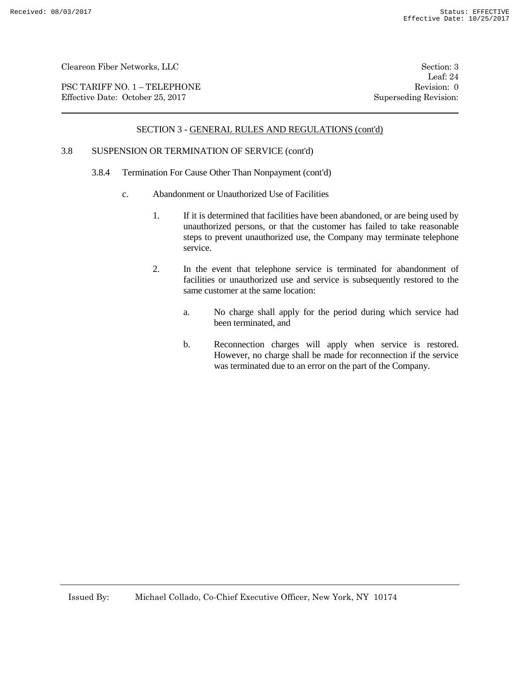PSC TARIFF NO. 1 – TELEPHONE Revision: 0 Effective Date: October 25, 2017 Superseding Revision:

Leaf: 24

### SECTION 3 - GENERAL RULES AND REGULATIONS (cont'd)

# 3.8 SUSPENSION OR TERMINATION OF SERVICE (cont'd)

- 3.8.4 Termination For Cause Other Than Nonpayment (cont'd)
	- c. Abandonment or Unauthorized Use of Facilities
		- 1. If it is determined that facilities have been abandoned, or are being used by unauthorized persons, or that the customer has failed to take reasonable steps to prevent unauthorized use, the Company may terminate telephone service.
		- 2. In the event that telephone service is terminated for abandonment of facilities or unauthorized use and service is subsequently restored to the same customer at the same location:
			- a. No charge shall apply for the period during which service had been terminated, and
			- b. Reconnection charges will apply when service is restored. However, no charge shall be made for reconnection if the service was terminated due to an error on the part of the Company.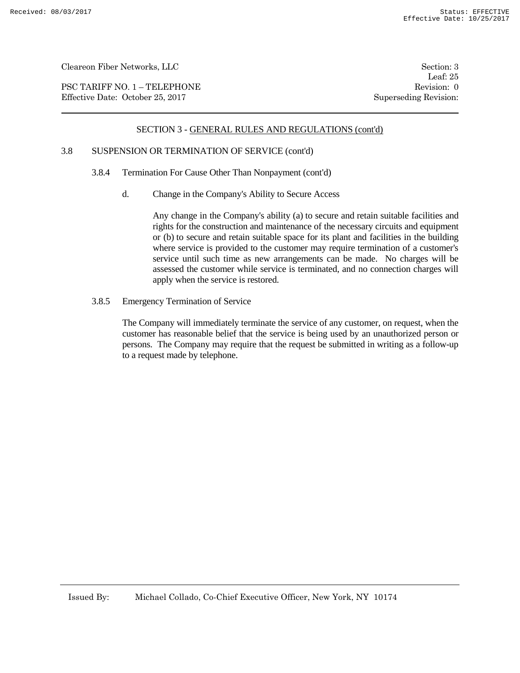PSC TARIFF NO. 1 – TELEPHONE Revision: 0<br>
Effective Date: October 25, 2017 Superseding Revision: 0 Effective Date: October 25, 2017

Leaf: 25

### SECTION 3 - GENERAL RULES AND REGULATIONS (cont'd)

# 3.8 SUSPENSION OR TERMINATION OF SERVICE (cont'd)

- 3.8.4 Termination For Cause Other Than Nonpayment (cont'd)
	- d. Change in the Company's Ability to Secure Access

Any change in the Company's ability (a) to secure and retain suitable facilities and rights for the construction and maintenance of the necessary circuits and equipment or (b) to secure and retain suitable space for its plant and facilities in the building where service is provided to the customer may require termination of a customer's service until such time as new arrangements can be made. No charges will be assessed the customer while service is terminated, and no connection charges will apply when the service is restored.

3.8.5 Emergency Termination of Service

The Company will immediately terminate the service of any customer, on request, when the customer has reasonable belief that the service is being used by an unauthorized person or persons. The Company may require that the request be submitted in writing as a follow-up to a request made by telephone.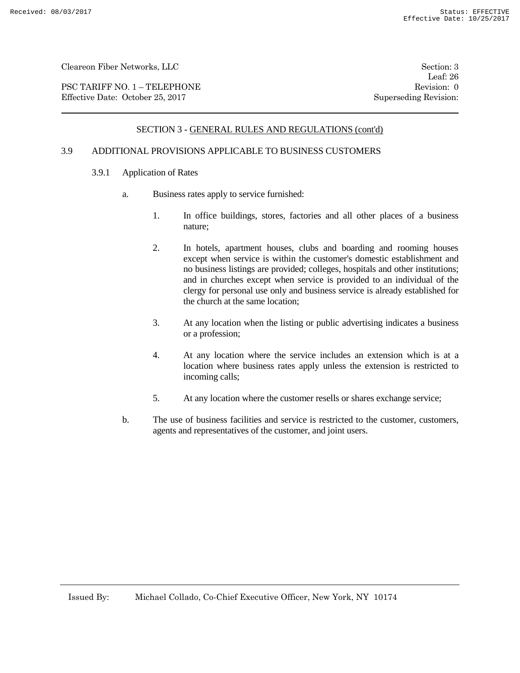PSC TARIFF NO. 1 – TELEPHONE Revision: 0 Effective Date: October 25, 2017 Superseding Revision:

Leaf: 26

### SECTION 3 - GENERAL RULES AND REGULATIONS (cont'd)

# 3.9 ADDITIONAL PROVISIONS APPLICABLE TO BUSINESS CUSTOMERS

- 3.9.1 Application of Rates
	- a. Business rates apply to service furnished:
		- 1. In office buildings, stores, factories and all other places of a business nature;
		- 2. In hotels, apartment houses, clubs and boarding and rooming houses except when service is within the customer's domestic establishment and no business listings are provided; colleges, hospitals and other institutions; and in churches except when service is provided to an individual of the clergy for personal use only and business service is already established for the church at the same location;
		- 3. At any location when the listing or public advertising indicates a business or a profession;
		- 4. At any location where the service includes an extension which is at a location where business rates apply unless the extension is restricted to incoming calls;
		- 5. At any location where the customer resells or shares exchange service;
	- b. The use of business facilities and service is restricted to the customer, customers, agents and representatives of the customer, and joint users.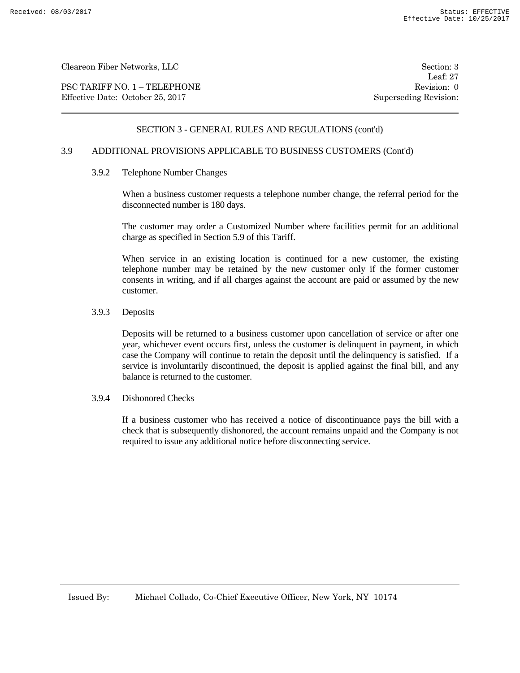PSC TARIFF NO. 1 – TELEPHONE Revision: 0 Effective Date: October 25, 2017 Superseding Revision:

Leaf: 27

# SECTION 3 - GENERAL RULES AND REGULATIONS (cont'd)

# 3.9 ADDITIONAL PROVISIONS APPLICABLE TO BUSINESS CUSTOMERS (Cont'd)

3.9.2 Telephone Number Changes

When a business customer requests a telephone number change, the referral period for the disconnected number is 180 days.

The customer may order a Customized Number where facilities permit for an additional charge as specified in Section 5.9 of this Tariff.

When service in an existing location is continued for a new customer, the existing telephone number may be retained by the new customer only if the former customer consents in writing, and if all charges against the account are paid or assumed by the new customer.

#### 3.9.3 Deposits

Deposits will be returned to a business customer upon cancellation of service or after one year, whichever event occurs first, unless the customer is delinquent in payment, in which case the Company will continue to retain the deposit until the delinquency is satisfied. If a service is involuntarily discontinued, the deposit is applied against the final bill, and any balance is returned to the customer.

#### 3.9.4 Dishonored Checks

If a business customer who has received a notice of discontinuance pays the bill with a check that is subsequently dishonored, the account remains unpaid and the Company is not required to issue any additional notice before disconnecting service.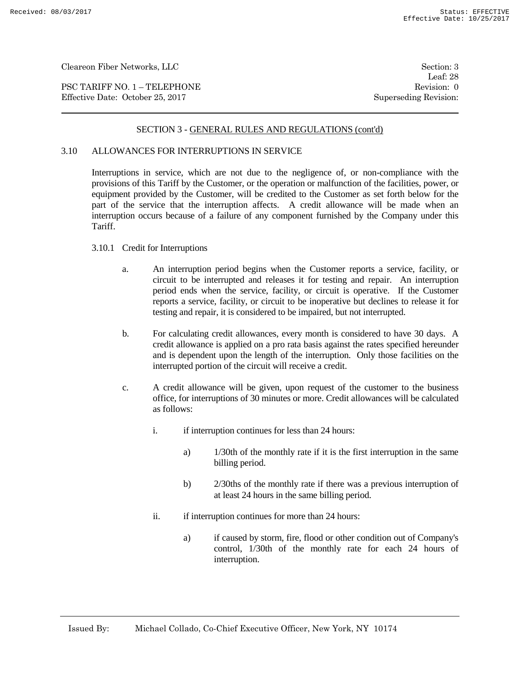PSC TARIFF NO. 1 – TELEPHONE Revision: 0 Effective Date: October 25, 2017 Superseding Revision:

Leaf: 28

### SECTION 3 - GENERAL RULES AND REGULATIONS (cont'd)

### 3.10 ALLOWANCES FOR INTERRUPTIONS IN SERVICE

Interruptions in service, which are not due to the negligence of, or non-compliance with the provisions of this Tariff by the Customer, or the operation or malfunction of the facilities, power, or equipment provided by the Customer, will be credited to the Customer as set forth below for the part of the service that the interruption affects. A credit allowance will be made when an interruption occurs because of a failure of any component furnished by the Company under this Tariff.

#### 3.10.1 Credit for Interruptions

- a. An interruption period begins when the Customer reports a service, facility, or circuit to be interrupted and releases it for testing and repair. An interruption period ends when the service, facility, or circuit is operative. If the Customer reports a service, facility, or circuit to be inoperative but declines to release it for testing and repair, it is considered to be impaired, but not interrupted.
- b. For calculating credit allowances, every month is considered to have 30 days. A credit allowance is applied on a pro rata basis against the rates specified hereunder and is dependent upon the length of the interruption. Only those facilities on the interrupted portion of the circuit will receive a credit.
- c. A credit allowance will be given, upon request of the customer to the business office, for interruptions of 30 minutes or more. Credit allowances will be calculated as follows:
	- i. if interruption continues for less than 24 hours:
		- a) 1/30th of the monthly rate if it is the first interruption in the same billing period.
		- b) 2/30ths of the monthly rate if there was a previous interruption of at least 24 hours in the same billing period.
	- ii. if interruption continues for more than 24 hours:
		- a) if caused by storm, fire, flood or other condition out of Company's control, 1/30th of the monthly rate for each 24 hours of interruption.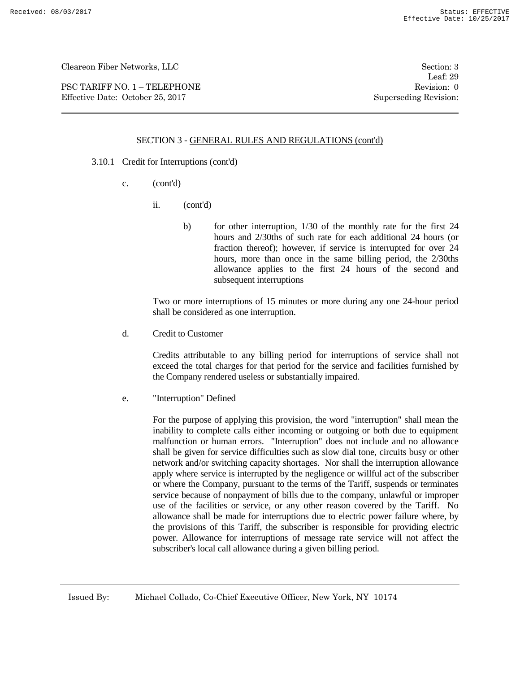PSC TARIFF NO. 1 – TELEPHONE Revision: 0 Effective Date: October 25, 2017 Superseding Revision:

Leaf: 29

# SECTION 3 - GENERAL RULES AND REGULATIONS (cont'd)

- 3.10.1 Credit for Interruptions (cont'd)
	- c. (cont'd)
		- ii. (cont'd)
			- b) for other interruption, 1/30 of the monthly rate for the first 24 hours and 2/30ths of such rate for each additional 24 hours (or fraction thereof); however, if service is interrupted for over 24 hours, more than once in the same billing period, the 2/30ths allowance applies to the first 24 hours of the second and subsequent interruptions

Two or more interruptions of 15 minutes or more during any one 24-hour period shall be considered as one interruption.

d. Credit to Customer

Credits attributable to any billing period for interruptions of service shall not exceed the total charges for that period for the service and facilities furnished by the Company rendered useless or substantially impaired.

e. "Interruption" Defined

For the purpose of applying this provision, the word "interruption" shall mean the inability to complete calls either incoming or outgoing or both due to equipment malfunction or human errors. "Interruption" does not include and no allowance shall be given for service difficulties such as slow dial tone, circuits busy or other network and/or switching capacity shortages. Nor shall the interruption allowance apply where service is interrupted by the negligence or willful act of the subscriber or where the Company, pursuant to the terms of the Tariff, suspends or terminates service because of nonpayment of bills due to the company, unlawful or improper use of the facilities or service, or any other reason covered by the Tariff. No allowance shall be made for interruptions due to electric power failure where, by the provisions of this Tariff, the subscriber is responsible for providing electric power. Allowance for interruptions of message rate service will not affect the subscriber's local call allowance during a given billing period.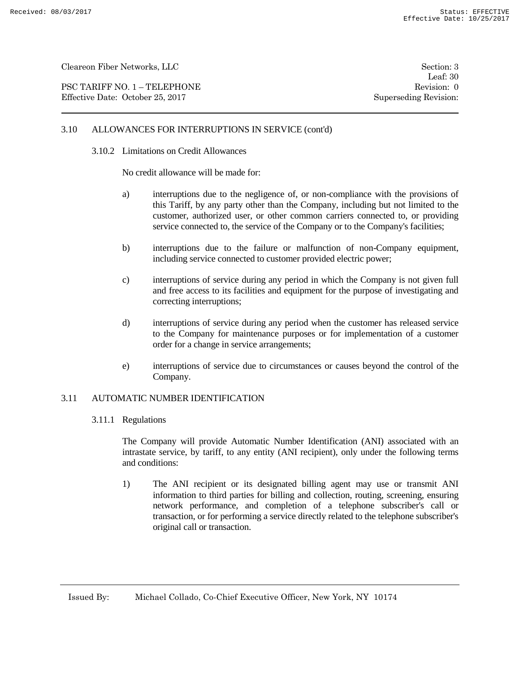PSC TARIFF NO. 1 – TELEPHONE Revision: 0 Effective Date: October 25, 2017 Superseding Revision:

Leaf: 30

# 3.10 ALLOWANCES FOR INTERRUPTIONS IN SERVICE (cont'd)

#### 3.10.2 Limitations on Credit Allowances

No credit allowance will be made for:

- a) interruptions due to the negligence of, or non-compliance with the provisions of this Tariff, by any party other than the Company, including but not limited to the customer, authorized user, or other common carriers connected to, or providing service connected to, the service of the Company or to the Company's facilities;
- b) interruptions due to the failure or malfunction of non-Company equipment, including service connected to customer provided electric power;
- c) interruptions of service during any period in which the Company is not given full and free access to its facilities and equipment for the purpose of investigating and correcting interruptions;
- d) interruptions of service during any period when the customer has released service to the Company for maintenance purposes or for implementation of a customer order for a change in service arrangements;
- e) interruptions of service due to circumstances or causes beyond the control of the Company.

#### 3.11 AUTOMATIC NUMBER IDENTIFICATION

3.11.1 Regulations

The Company will provide Automatic Number Identification (ANI) associated with an intrastate service, by tariff, to any entity (ANI recipient), only under the following terms and conditions:

1) The ANI recipient or its designated billing agent may use or transmit ANI information to third parties for billing and collection, routing, screening, ensuring network performance, and completion of a telephone subscriber's call or transaction, or for performing a service directly related to the telephone subscriber's original call or transaction.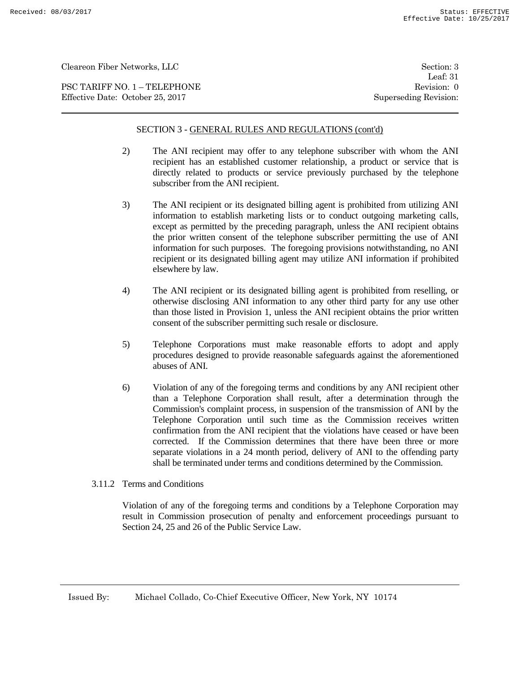PSC TARIFF NO. 1 – TELEPHONE Revision: 0 Effective Date: October 25, 2017 Superseding Revision:

# SECTION 3 - GENERAL RULES AND REGULATIONS (cont'd)

- 2) The ANI recipient may offer to any telephone subscriber with whom the ANI recipient has an established customer relationship, a product or service that is directly related to products or service previously purchased by the telephone subscriber from the ANI recipient.
- 3) The ANI recipient or its designated billing agent is prohibited from utilizing ANI information to establish marketing lists or to conduct outgoing marketing calls, except as permitted by the preceding paragraph, unless the ANI recipient obtains the prior written consent of the telephone subscriber permitting the use of ANI information for such purposes. The foregoing provisions notwithstanding, no ANI recipient or its designated billing agent may utilize ANI information if prohibited elsewhere by law.
- 4) The ANI recipient or its designated billing agent is prohibited from reselling, or otherwise disclosing ANI information to any other third party for any use other than those listed in Provision 1, unless the ANI recipient obtains the prior written consent of the subscriber permitting such resale or disclosure.
- 5) Telephone Corporations must make reasonable efforts to adopt and apply procedures designed to provide reasonable safeguards against the aforementioned abuses of ANI.
- 6) Violation of any of the foregoing terms and conditions by any ANI recipient other than a Telephone Corporation shall result, after a determination through the Commission's complaint process, in suspension of the transmission of ANI by the Telephone Corporation until such time as the Commission receives written confirmation from the ANI recipient that the violations have ceased or have been corrected. If the Commission determines that there have been three or more separate violations in a 24 month period, delivery of ANI to the offending party shall be terminated under terms and conditions determined by the Commission.
- 3.11.2 Terms and Conditions

Violation of any of the foregoing terms and conditions by a Telephone Corporation may result in Commission prosecution of penalty and enforcement proceedings pursuant to Section 24, 25 and 26 of the Public Service Law.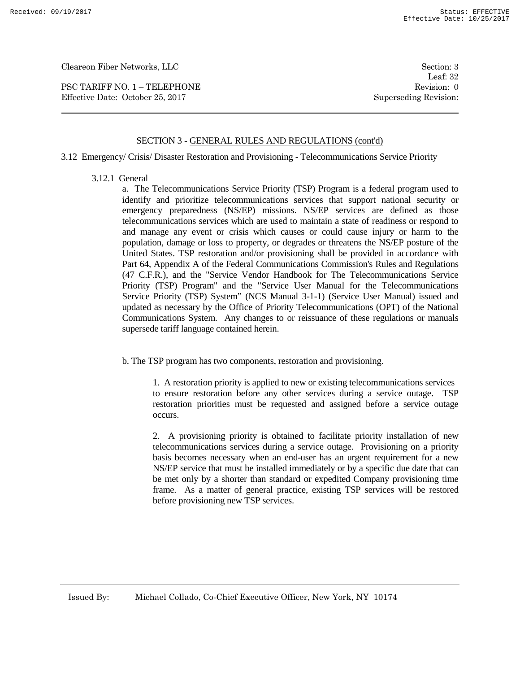PSC TARIFF NO. 1 – TELEPHONE Revision: 0 Effective Date: October 25, 2017 Superseding Revision:

Leaf: 32

# SECTION 3 - GENERAL RULES AND REGULATIONS (cont'd)

3.12 Emergency/ Crisis/ Disaster Restoration and Provisioning - Telecommunications Service Priority

3.12.1 General

a. The Telecommunications Service Priority (TSP) Program is a federal program used to identify and prioritize telecommunications services that support national security or emergency preparedness (NS/EP) missions. NS/EP services are defined as those telecommunications services which are used to maintain a state of readiness or respond to and manage any event or crisis which causes or could cause injury or harm to the population, damage or loss to property, or degrades or threatens the NS/EP posture of the United States. TSP restoration and/or provisioning shall be provided in accordance with Part 64, Appendix A of the Federal Communications Commission's Rules and Regulations (47 C.F.R.), and the "Service Vendor Handbook for The Telecommunications Service Priority (TSP) Program" and the "Service User Manual for the Telecommunications Service Priority (TSP) System" (NCS Manual 3-1-1) (Service User Manual) issued and updated as necessary by the Office of Priority Telecommunications (OPT) of the National Communications System. Any changes to or reissuance of these regulations or manuals supersede tariff language contained herein.

b. The TSP program has two components, restoration and provisioning.

1. A restoration priority is applied to new or existing telecommunications services to ensure restoration before any other services during a service outage. TSP restoration priorities must be requested and assigned before a service outage occurs.

2. A provisioning priority is obtained to facilitate priority installation of new telecommunications services during a service outage. Provisioning on a priority basis becomes necessary when an end-user has an urgent requirement for a new NS/EP service that must be installed immediately or by a specific due date that can be met only by a shorter than standard or expedited Company provisioning time frame. As a matter of general practice, existing TSP services will be restored before provisioning new TSP services.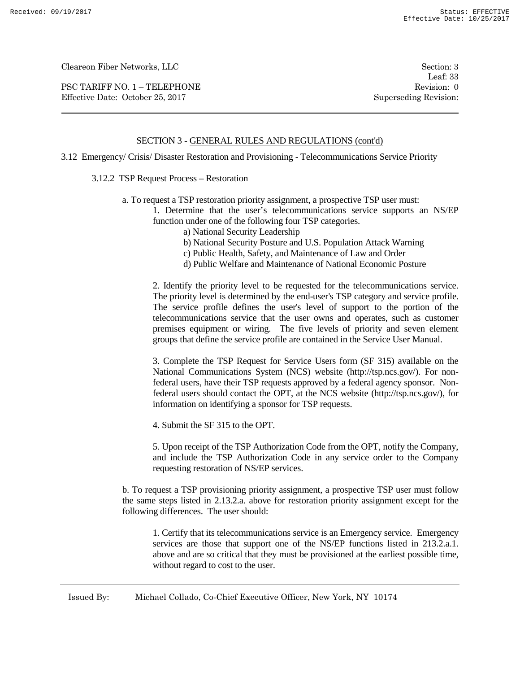PSC TARIFF NO. 1 – TELEPHONE Revision: 0 Effective Date: October 25, 2017 Superseding Revision:

Leaf: 33

# SECTION 3 - GENERAL RULES AND REGULATIONS (cont'd)

3.12 Emergency/ Crisis/ Disaster Restoration and Provisioning - Telecommunications Service Priority

### 3.12.2 TSP Request Process – Restoration

a. To request a TSP restoration priority assignment, a prospective TSP user must:

1. Determine that the user's telecommunications service supports an NS/EP function under one of the following four TSP categories.

- a) National Security Leadership
- b) National Security Posture and U.S. Population Attack Warning
- c) Public Health, Safety, and Maintenance of Law and Order
- d) Public Welfare and Maintenance of National Economic Posture

2. Identify the priority level to be requested for the telecommunications service. The priority level is determined by the end-user's TSP category and service profile. The service profile defines the user's level of support to the portion of the telecommunications service that the user owns and operates, such as customer premises equipment or wiring. The five levels of priority and seven element groups that define the service profile are contained in the Service User Manual.

3. Complete the TSP Request for Service Users form (SF 315) available on the National Communications System (NCS) website (http://tsp.ncs.gov/). For nonfederal users, have their TSP requests approved by a federal agency sponsor. Nonfederal users should contact the OPT, at the NCS website (http://tsp.ncs.gov/), for information on identifying a sponsor for TSP requests.

4. Submit the SF 315 to the OPT.

5. Upon receipt of the TSP Authorization Code from the OPT, notify the Company, and include the TSP Authorization Code in any service order to the Company requesting restoration of NS/EP services.

b. To request a TSP provisioning priority assignment, a prospective TSP user must follow the same steps listed in 2.13.2.a. above for restoration priority assignment except for the following differences. The user should:

1. Certify that its telecommunications service is an Emergency service. Emergency services are those that support one of the NS/EP functions listed in 213.2.a.1. above and are so critical that they must be provisioned at the earliest possible time, without regard to cost to the user.

Issued By: Michael Collado, Co-Chief Executive Officer, New York, NY 10174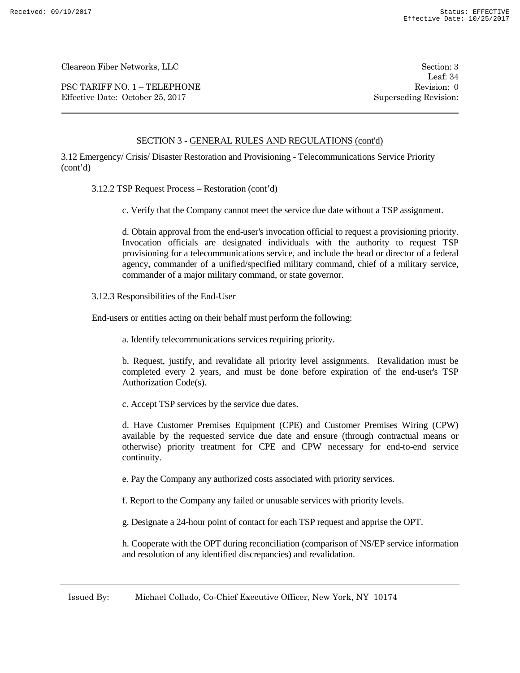PSC TARIFF NO. 1 – TELEPHONE Revision: 0 Effective Date: October 25, 2017 Superseding Revision:

Leaf: 34

# SECTION 3 - GENERAL RULES AND REGULATIONS (cont'd)

3.12 Emergency/ Crisis/ Disaster Restoration and Provisioning - Telecommunications Service Priority (cont'd)

3.12.2 TSP Request Process – Restoration (cont'd)

c. Verify that the Company cannot meet the service due date without a TSP assignment.

d. Obtain approval from the end-user's invocation official to request a provisioning priority. Invocation officials are designated individuals with the authority to request TSP provisioning for a telecommunications service, and include the head or director of a federal agency, commander of a unified/specified military command, chief of a military service, commander of a major military command, or state governor.

3.12.3 Responsibilities of the End-User

End-users or entities acting on their behalf must perform the following:

a. Identify telecommunications services requiring priority.

b. Request, justify, and revalidate all priority level assignments. Revalidation must be completed every 2 years, and must be done before expiration of the end-user's TSP Authorization Code(s).

c. Accept TSP services by the service due dates.

d. Have Customer Premises Equipment (CPE) and Customer Premises Wiring (CPW) available by the requested service due date and ensure (through contractual means or otherwise) priority treatment for CPE and CPW necessary for end-to-end service continuity.

e. Pay the Company any authorized costs associated with priority services.

f. Report to the Company any failed or unusable services with priority levels.

g. Designate a 24-hour point of contact for each TSP request and apprise the OPT.

h. Cooperate with the OPT during reconciliation (comparison of NS/EP service information and resolution of any identified discrepancies) and revalidation.

Issued By: Michael Collado, Co-Chief Executive Officer, New York, NY 10174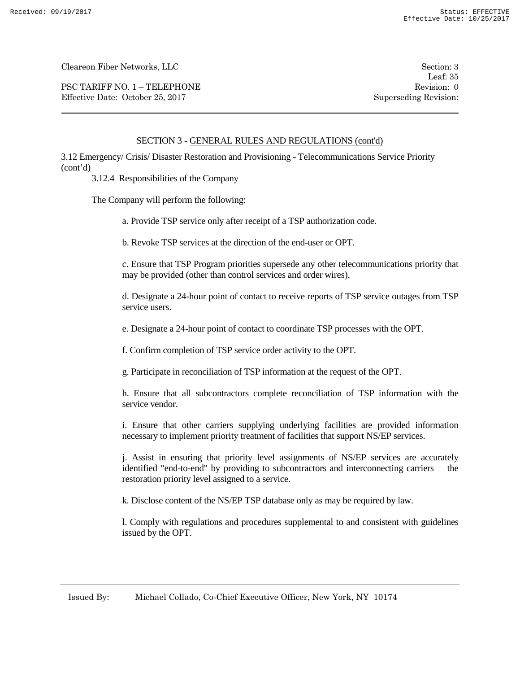PSC TARIFF NO. 1 – TELEPHONE Revision: 0 Effective Date: October 25, 2017 Superseding Revision:

Leaf: 35

# SECTION 3 - GENERAL RULES AND REGULATIONS (cont'd)

3.12 Emergency/ Crisis/ Disaster Restoration and Provisioning - Telecommunications Service Priority (cont'd)

3.12.4 Responsibilities of the Company

The Company will perform the following:

a. Provide TSP service only after receipt of a TSP authorization code.

b. Revoke TSP services at the direction of the end-user or OPT.

c. Ensure that TSP Program priorities supersede any other telecommunications priority that may be provided (other than control services and order wires).

d. Designate a 24-hour point of contact to receive reports of TSP service outages from TSP service users.

e. Designate a 24-hour point of contact to coordinate TSP processes with the OPT.

f. Confirm completion of TSP service order activity to the OPT.

g. Participate in reconciliation of TSP information at the request of the OPT.

h. Ensure that all subcontractors complete reconciliation of TSP information with the service vendor.

i. Ensure that other carriers supplying underlying facilities are provided information necessary to implement priority treatment of facilities that support NS/EP services.

j. Assist in ensuring that priority level assignments of NS/EP services are accurately identified "end-to-end" by providing to subcontractors and interconnecting carriers the restoration priority level assigned to a service.

k. Disclose content of the NS/EP TSP database only as may be required by law.

l. Comply with regulations and procedures supplemental to and consistent with guidelines issued by the OPT.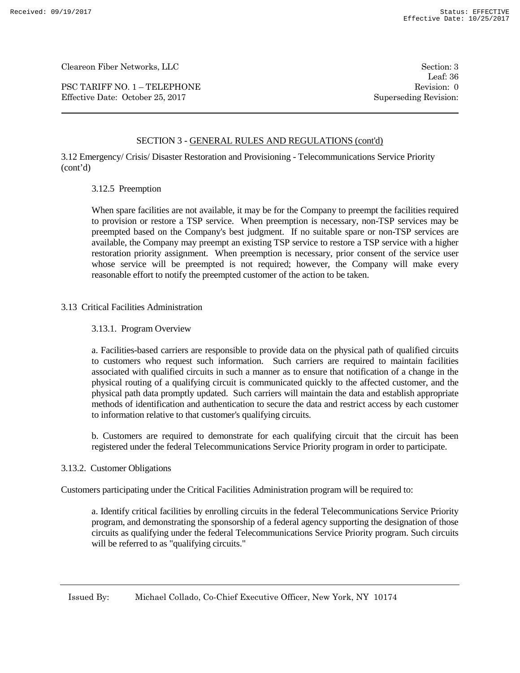PSC TARIFF NO. 1 – TELEPHONE Revision: 0 Effective Date: October 25, 2017 Superseding Revision:

Leaf: 36

# SECTION 3 - GENERAL RULES AND REGULATIONS (cont'd)

3.12 Emergency/ Crisis/ Disaster Restoration and Provisioning - Telecommunications Service Priority (cont'd)

### 3.12.5 Preemption

When spare facilities are not available, it may be for the Company to preempt the facilities required to provision or restore a TSP service. When preemption is necessary, non-TSP services may be preempted based on the Company's best judgment. If no suitable spare or non-TSP services are available, the Company may preempt an existing TSP service to restore a TSP service with a higher restoration priority assignment. When preemption is necessary, prior consent of the service user whose service will be preempted is not required; however, the Company will make every reasonable effort to notify the preempted customer of the action to be taken.

### 3.13 Critical Facilities Administration

### 3.13.1. Program Overview

a. Facilities-based carriers are responsible to provide data on the physical path of qualified circuits to customers who request such information. Such carriers are required to maintain facilities associated with qualified circuits in such a manner as to ensure that notification of a change in the physical routing of a qualifying circuit is communicated quickly to the affected customer, and the physical path data promptly updated. Such carriers will maintain the data and establish appropriate methods of identification and authentication to secure the data and restrict access by each customer to information relative to that customer's qualifying circuits.

b. Customers are required to demonstrate for each qualifying circuit that the circuit has been registered under the federal Telecommunications Service Priority program in order to participate.

#### 3.13.2. Customer Obligations

Customers participating under the Critical Facilities Administration program will be required to:

a. Identify critical facilities by enrolling circuits in the federal Telecommunications Service Priority program, and demonstrating the sponsorship of a federal agency supporting the designation of those circuits as qualifying under the federal Telecommunications Service Priority program. Such circuits will be referred to as "qualifying circuits."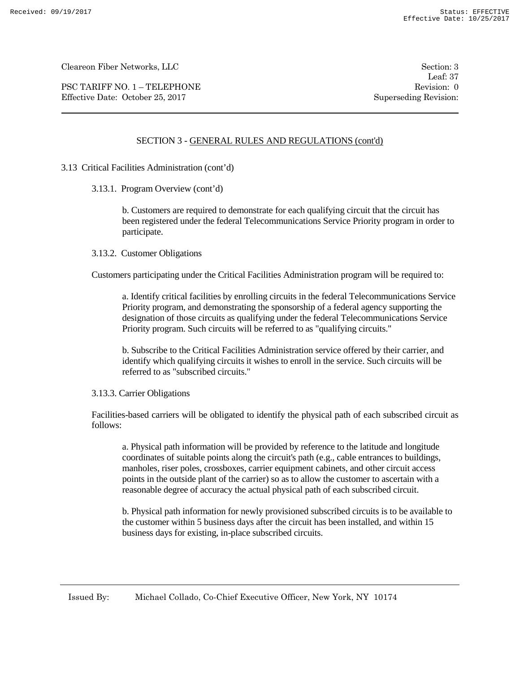PSC TARIFF NO. 1 – TELEPHONE Revision: 0 Effective Date: October 25, 2017 Superseding Revision:

Leaf: 37

# SECTION 3 - GENERAL RULES AND REGULATIONS (cont'd)

- 3.13 Critical Facilities Administration (cont'd)
	- 3.13.1. Program Overview (cont'd)

b. Customers are required to demonstrate for each qualifying circuit that the circuit has been registered under the federal Telecommunications Service Priority program in order to participate.

3.13.2. Customer Obligations

Customers participating under the Critical Facilities Administration program will be required to:

a. Identify critical facilities by enrolling circuits in the federal Telecommunications Service Priority program, and demonstrating the sponsorship of a federal agency supporting the designation of those circuits as qualifying under the federal Telecommunications Service Priority program. Such circuits will be referred to as "qualifying circuits."

b. Subscribe to the Critical Facilities Administration service offered by their carrier, and identify which qualifying circuits it wishes to enroll in the service. Such circuits will be referred to as "subscribed circuits."

3.13.3. Carrier Obligations

Facilities-based carriers will be obligated to identify the physical path of each subscribed circuit as follows:

a. Physical path information will be provided by reference to the latitude and longitude coordinates of suitable points along the circuit's path (e.g., cable entrances to buildings, manholes, riser poles, crossboxes, carrier equipment cabinets, and other circuit access points in the outside plant of the carrier) so as to allow the customer to ascertain with a reasonable degree of accuracy the actual physical path of each subscribed circuit.

b. Physical path information for newly provisioned subscribed circuits is to be available to the customer within 5 business days after the circuit has been installed, and within 15 business days for existing, in-place subscribed circuits.